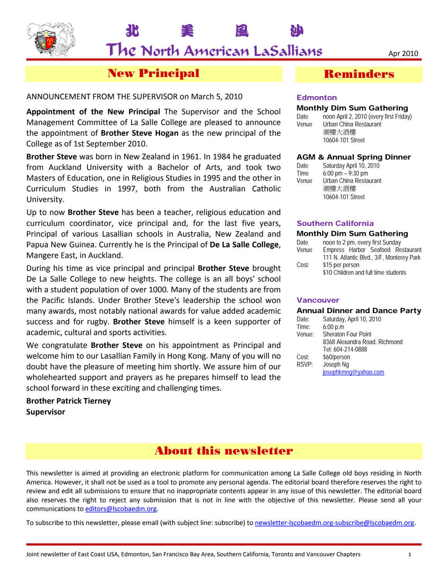

北 美 風 沙

# New Principal

## ANNOUNCEMENT FROM THE SUPERVISOR on March 5, 2010

**Appointment of the New Principal** The Supervisor and the School Management Committee of La Salle College are pleased to announce the appointment of **Brother Steve Hogan** as the new principal of the College as of 1st September 2010.

**Brother Steve** was born in New Zealand in 1961. In 1984 he graduated from Auckland University with a Bachelor of Arts, and took two Masters of Education, one in Religious Studies in 1995 and the other in Curriculum Studies in 1997, both from the Australian Catholic University.

Up to now **Brother Steve** has been a teacher, religious education and curriculum coordinator, vice principal and, for the last five years, Principal of various Lasallian schools in Australia, New Zealand and Papua New Guinea. Currently he is the Principal of **De La Salle College**, Mangere East, in Auckland.

During his time as vice principal and principal **Brother Steve** brought De La Salle College to new heights. The college is an all boys' school with a student population of over 1000. Many of the students are from the Pacific Islands. Under Brother Steve's leadership the school won many awards, most notably national awards for value added academic success and for rugby. **Brother Steve** himself is a keen supporter of academic, cultural and sports activities.

We congratulate **Brother Steve** on his appointment as Principal and welcome him to our Lasallian Family in Hong Kong. Many of you will no doubt have the pleasure of meeting him shortly. We assure him of our wholehearted support and prayers as he prepares himself to lead the school forward in these exciting and challenging times.

**Brother Patrick Tierney Supervisor**

# Reminders

### **Edmonton**

#### Monthly Dim Sum Gathering

Date noon April 2, 2010 (every first Friday) Venue Urban China Restaurant 潮樓大酒樓 10604-101 Street

#### AGM & Annual Spring Dinner

Date Saturday April 10, 2010 Time 6:00 pm – 9:30 pm Venue Urban China Restaurant 潮樓大酒樓 10604-101 Street

#### Southern California

#### Monthly Dim Sum Gathering

| Date  | noon to 2 pm, every first Sunday          |  |  |
|-------|-------------------------------------------|--|--|
| Venue | Empress Harbor Seafood Restaurant         |  |  |
|       | 111 N. Atlantic Blvd., 3/F, Monterey Park |  |  |
| Cost: | \$15 per person                           |  |  |
|       | \$10 Children and full time students      |  |  |

#### Vancouver

#### Annual Dinner and Dance Party

| Date:  | Saturday, April 10, 2010      |  |
|--------|-------------------------------|--|
| Time:  | 6:00 p.m                      |  |
| Venue: | <b>Sheraton Four Point</b>    |  |
|        | 8368 Alexandra Road, Richmond |  |
|        | Tel: 604-214-0888             |  |
| Cost:  | \$60/person                   |  |
| RSVP:  | Joseph Ng                     |  |
|        | josephkmnq@yahoo.com          |  |

# About this newsletter

This newsletter is aimed at providing an electronic platform for communication among La Salle College old boys residing in North America. However, it shall not be used as a tool to promote any personal agenda. The editorial board therefore reserves the right to review and edit all submissions to ensure that no inappropriate contents appear in any issue of this newsletter. The editorial board also reserves the right to reject any submission that is not in line with the objective of this newsletter. Please send all your communications to editors@lscobaedm.org.

To subscribe to this newsletter, please email (with subject line: subscribe) to newsletter-lscobaedm.org-subscribe@lscobaedm.org.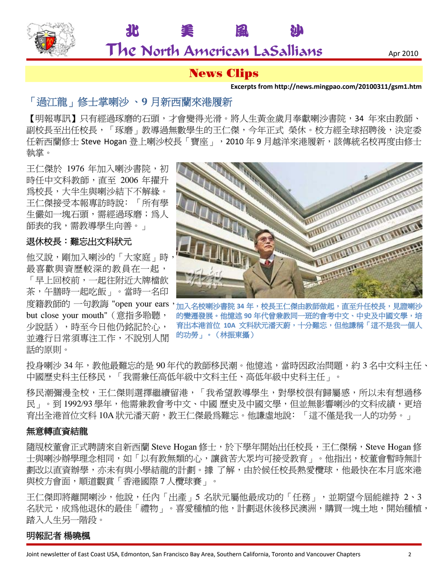

北 美 風 沙

# News Clips

# 「過江龍」修士掌喇沙 、**9** 月新西蘭來港履新

【明報專訊】只有經過琢磨的石頭,才會變得光滑。將人生黃金歲月奉獻喇沙書院,34 年來由教師、 副校長至出任校長,「琢磨」教導過無數學生的王仁傑,今年正式 榮休。校方經全球招聘後,決定委 任新西蘭修士 Steve Hogan 登上喇沙校長「寶座」, 2010 年 9 月越洋來港履新,該傳統名校再度由修士 執掌。

王仁傑於 1976 年加入喇沙書院,初 時任中文科教師,直至 2006 年擢升 為校長,大半生與喇沙結下不解緣。 王仁傑接受本報專訪時說﹕「所有學 生儼如一塊石頭,需經過琢磨;為人 師表的我,需教導學生向善。」

# 退休校長:難忘出文科狀元

他又說,剛加入喇沙的「大家庭」時。 最喜歡與資歷較深的教員在一起, 「早上回校前,一起往附近大牌檔飲 茶,午膳時一起吃飯」。當時一名印 but close your mouth" ( 意指多聆聽, 少說話),時至今日他仍銘記於心, 並遵行日常須專注工作,不說別人閒 話的原則。



度籍教師的 一句教誨 "open your ears,<sub>加入名校喇沙書院 34 年,校長王仁傑由教師做起,直至升任校長,見證喇沙</sub> 的變遷發展。他憶述 **90** 年代曾兼教同一班的會考中文、中史及中國文學,培 育出本港首位 **10A** 文科狀元潘天蔚,十分難忘,但他謙稱「這不是我一個人 的功勞」。(林振東攝)

投身喇沙 34 年,教他最難忘的是 90 年代的教師移民潮。他憶述,當時因政治問題,約 3 名中文科主任、 中國歷史科主任移民,「我需兼任高低年級中文科主任、高低年級中史科主任」。

移民潮彌漫全校,王仁傑則選擇繼續留港,「我希望教導學生,對學校很有歸屬感,所以未有想過移 民」。到 1992/93 學年,他需兼教會考中文、中國 歷史及中國文學,但並無影響喇沙的文科成績,更培 育出全港首位文科 10A 狀元潘天蔚,教王仁傑最為難忘。他謙虛地說﹕「這不僅是我一人的功勞。」

# 無意轉直資結龍

隨覑校董會正式聘請來自新西蘭 Steve Hogan 修士,於下學年開始出任校長,王仁傑稱,Steve Hogan 修 士與喇沙辦學理念相同,如「以有教無類的心,讓貧苦大眾均可接受教育」。他指出,校董會暫時無計 劃改以直資辦學,亦未有與小學結龍的計劃。據 了解,由於候任校長熱愛欖球,他最快在本月底來港 與校方會面,順道觀賞「香港國際 7 人欖球賽」。

王仁傑即將離開喇沙,他說,任內「出產」5 名狀元屬他最成功的「任務」,並期望今屆能維持 2、3 名狀元,成爲他退休的最佳「禮物」。喜愛種植的他,計劃退休後移民澳洲,購買一塊土地,開始種植, 踏入人生另一階段。

# 明報記者 楊曉楓

**Excerpts from http://news.mingpao.com/20100311/gsm1.htm**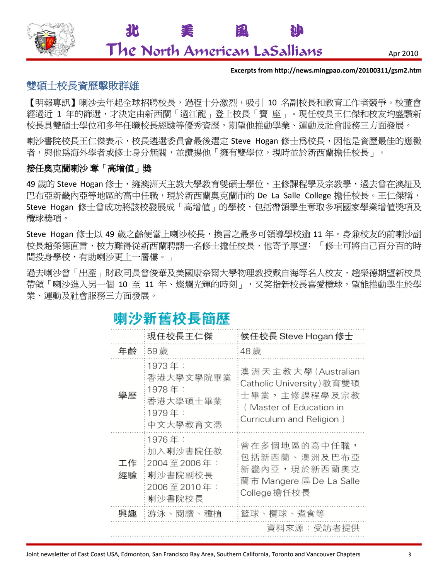

## **Excerpts from http://news.mingpao.com/20100311/gsm2.htm**

# 雙碩士校長資歷擊敗群雄

【明報專訊】喇沙去年起全球招聘校長,過程十分激烈,吸引 10 名副校長和教育工作者競爭。校董會 經過近 1 年的篩選,才決定由新西蘭「過江龍」登上校長「寶 座」。現任校長王仁傑和校友均盛讚新 校長具雙碩士學位和多年任職校長經驗等優秀資歷,期望他推動學業、運動及社會服務三方面發展。

喇沙書院校長王仁傑表示,校長潾選委員會最後選定 Steve Hogan 修士為校長,因他是資歷最佳的應徵 者,與他爲海外學者或修士身分無關,並讚揚他「擁有雙學位,現時並於新西蘭擔任校長」。

# 接任奧克蘭喇沙 奪「高增值」獎

49 歲的 Steve Hogan 修士,擁澳洲天主教大學教育雙碩士學位,主修課程學及宗教學,過去曾在澳紐及 巴布亞新畿內亞等地區的高中任職,現於新西蘭奧克蘭市的 De La Salle College 擔任校長。王仁傑稱, Steve Hogan 修士曾成功將該校發展成「高增值」的學校,包括帶領學生奪取多項國家學業增值獎項及 欖球獎項。

Steve Hogan 修士以 49 歲之齡便當上喇沙校長,換言之最多可領導學校逾 11 年。身兼校友的前喇沙副 校長趙榮德直言,校方難得從新西蘭聘請一名修士擔任校長,他寄予厚望﹕「修士可將自己百分百的時 間投身學校,有助喇沙更上一層樓。」

過去喇沙曾「出產」財政司長曾俊華及美國康奈爾大學物理教授戴自海等名人校友,趙榮德期望新校長 帶領「喇沙進入另一個 10 至 11 年、燦爛光輝的時刻」,又笑指新校長喜愛欖球,望能推動學生於學 業、運動及社會服務三方面發展。

# 喇沙新舊校長簡歷

|            | 現任校長王仁傑                                                               | 候任校長 Steve Hogan 修士                                                                                                    |  |
|------------|-----------------------------------------------------------------------|------------------------------------------------------------------------------------------------------------------------|--|
| 年齡         | :59歲                                                                  | 48歲                                                                                                                    |  |
| 學歷         | 1973年:<br>香港大學文學院畢業<br>1978年:<br>香港大學碩士畢業<br>1979年:<br>中文大學教育文憑       | 澳洲天主教大學 (Australian<br>Catholic University)教育雙碩<br>士畢業,主修課程學及宗教<br>(Master of Education in<br>Curriculum and Religion) |  |
| 工作<br>經驗   | 1976年:<br>加入喇沙書院任教<br>2004至2006年:<br>喇沙書院副校長<br>2006至2010年:<br>喇沙書院校長 | 曾在多個地區的高中任職,<br>包括新西蘭、澳洲及巴布亞<br>新畿内亞,現於新西蘭奧克<br>蘭市 Mangere 區 De La Salle<br>College擔任校長                                |  |
| 興趣         | …游泳、閱讀、種植                                                             | 籃球、欖球、煮食等                                                                                                              |  |
| 資料來源:受訪者提供 |                                                                       |                                                                                                                        |  |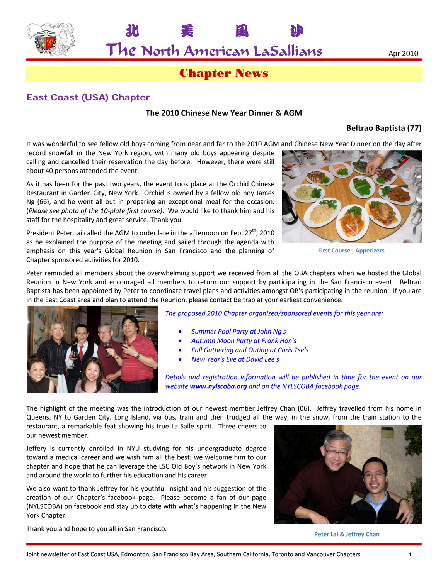

# Chapter News

# East Coast (USA) Chapter

## **The 2010 Chinese New Year Dinner & AGM**

## **Beltrao Baptista (77)**

It was wonderful to see fellow old boys coming from near and far to the 2010 AGM and Chinese New Year Dinner on the day after

record snowfall in the New York region, with many old boys appearing despite calling and cancelled their reservation the day before. However, there were still about 40 persons attended the event.

As it has been for the past two years, the event took place at the Orchid Chinese Restaurant in Garden City, New York. Orchid is owned by a fellow old boy James Ng (66), and he went all out in preparing an exceptional meal for the occasion. (*Please see photo of the 10‐plate first course)*. We would like to thank him and his staff for the hospitality and great service. Thank you.

President Peter Lai called the AGM to order late in the afternoon on Feb.  $27<sup>th</sup>$ , 2010 as he explained the purpose of the meeting and sailed through the agenda with emphasis on this year's Global Reunion in San Francisco and the planning of Chapter sponsored activities for 2010.



**First Course ‐ Appetizers**

Peter reminded all members about the overwhelming support we received from all the OBA chapters when we hosted the Global Reunion in New York and encouraged all members to return our support by participating in the San Francisco event. Beltrao Baptista has been appointed by Peter to coordinate travel plans and activities amongst OB's participating in the reunion. If you are in the East Coast area and plan to attend the Reunion, please contact Beltrao at your earliest convenience.



*The proposed 2010 Chapter organized/sponsored events for this year are:*

- *Summer Pool Party at John Ng's*
- *Autumn Moon Party at Frank Hon's*
- *Fall Gathering and Outing at Chris Tse's*
- *New Year's Eve at David Lee's*

*Details and registration information will be published in time for the event on our website www.nylscoba.org and on the NYLSCOBA facebook page.*

The highlight of the meeting was the introduction of our newest member Jeffrey Chan (06). Jeffrey travelled from his home in Queens, NY to Garden City, Long Island, via bus, train and then trudged all the way, in the snow, from the train station to the

restaurant, a remarkable feat showing his true La Salle spirit. Three cheers to our newest member.

Jeffery is currently enrolled in NYU studying for his undergraduate degree toward a medical career and we wish him all the best; we welcome him to our chapter and hope that he can leverage the LSC Old Boy's network in New York and around the world to further his education and his career.

We also want to thank Jeffrey for his youthful insight and his suggestion of the creation of our Chapter's facebook page. Please become a fan of our page (NYLSCOBA) on facebook and stay up to date with what's happening in the New York Chapter.



**Peter Lai & Jeffrey Chan**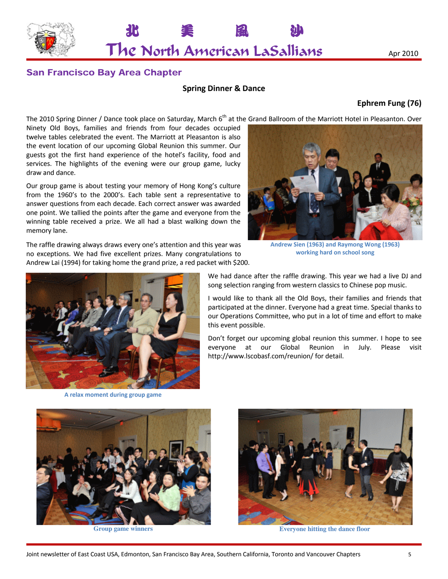

北 美 風 沙

# San Francisco Bay Area Chapter

## **Spring Dinner & Dance**

## **Ephrem Fung (76)**

The 2010 Spring Dinner / Dance took place on Saturday, March 6<sup>th</sup> at the Grand Ballroom of the Marriott Hotel in Pleasanton. Over

Ninety Old Boys, families and friends from four decades occupied twelve tables celebrated the event. The Marriott at Pleasanton is also the event location of our upcoming Global Reunion this summer. Our guests got the first hand experience of the hotel's facility, food and services. The highlights of the evening were our group game, lucky draw and dance.

Our group game is about testing your memory of Hong Kong's culture from the 1960's to the 2000's. Each table sent a representative to answer questions from each decade. Each correct answer was awarded one point. We tallied the points after the game and everyone from the winning table received a prize. We all had a blast walking down the memory lane.

The raffle drawing always draws every one's attention and this year was no exceptions. We had five excellent prizes. Many congratulations to Andrew Lai (1994) for taking home the grand prize, a red packet with \$200.



**A relax moment during group game**



**Andrew Sien (1963) and Raymong Wong (1963) working hard on school song**

We had dance after the raffle drawing. This year we had a live DJ and song selection ranging from western classics to Chinese pop music.

I would like to thank all the Old Boys, their families and friends that participated at the dinner. Everyone had a great time. Special thanks to our Operations Committee, who put in a lot of time and effort to make this event possible.

Don't forget our upcoming global reunion this summer. I hope to see everyone at our Global Reunion in July. Please visit http://www.lscobasf.com/reunion/ for detail.





**Group game winners Everyone hitting the dance floor**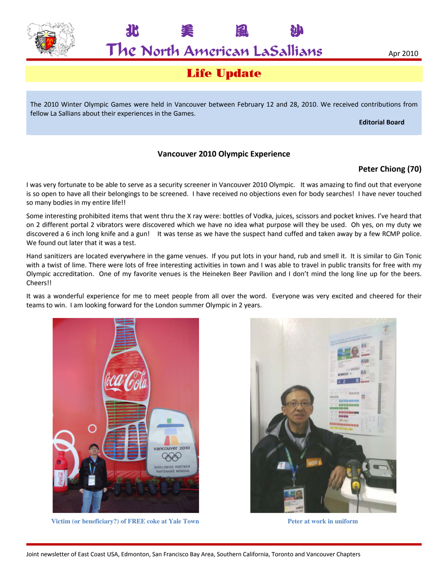

美

Apr 2010

# **Life Update**

風

Ւ

The 2010 Winter Olympic Games were held in Vancouver between February 12 and 28, 2010. We received contributions from fellow La Sallians about their experiences in the Games.

**Editor rial Board**

# **Va ncouver 201 10 Olympic E Experience**

# **Peter r Chiong (70 0)**

I was very fortunate to be able to serve as a security screener in Vancouver 2010 Olympic. It was amazing to find out that everyone is so open to have all their belongings to be screened. I have received no objections even for body searches! I have never touched so ma any bodies in m my entire life!! is so open to have all their belongings to be screened. I have received no objections even for body searches! I have never touched<br>so many bodies in my entire life!!<br>Some interesting prohibited items that went thru the X r

on 2 different portal 2 vibrators were discovered which we have no idea what purpose will they be used. Oh yes, on my duty we discovered a 6 inch long knife and a gun! It was tense as we have the suspect hand cuffed and taken away by a few RCMP police. We found out later that it was a test.

Hand sanitizers are located everywhere in the game venues. If you put lots in your hand, rub and smell it. It is similar to Gin Tonic with a twist of lime. There were lots of free interesting activities in town and I was able to travel in public transits for free with my with a twist of lime. There were lots of free interesting activities in town and I was able to travel in public transits for free with my<br>Olympic accreditation. One of my favorite venues is the Heineken Beer Pavilion and I Cheers!!

It was a wonderful experience for me to meet people from all over the word. Everyone was very excited and cheered for their teams to win. I am looking forward for the London summer Olympic in 2 years.



**10** 

**Victim (or b beneficiary?) of f FREE coke at Yale Town**



**Pe eter at work in uniform**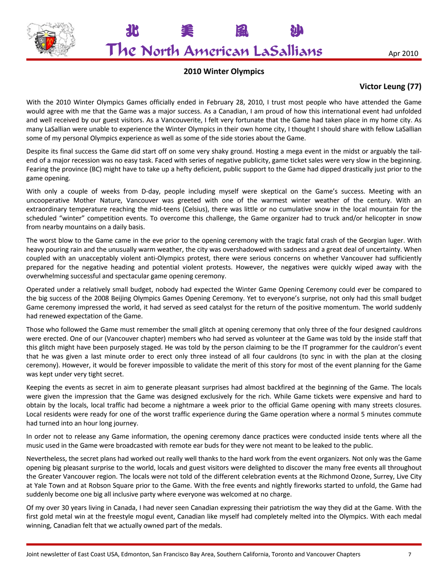

北 美 風 沙

## **2010 Winter Olympics**

# **Victor Leung (77)**

With the 2010 Winter Olympics Games officially ended in February 28, 2010, I trust most people who have attended the Game would agree with me that the Game was a major success. As a Canadian, I am proud of how this international event had unfolded and well received by our guest visitors. As a Vancouverite, I felt very fortunate that the Game had taken place in my home city. As many LaSallian were unable to experience the Winter Olympics in their own home city, I thought I should share with fellow LaSallian some of my personal Olympics experience as well as some of the side stories about the Game.

Despite its final success the Game did start off on some very shaky ground. Hosting a mega event in the midst or arguably the tail‐ end of a major recession was no easy task. Faced with series of negative publicity, game ticket sales were very slow in the beginning. Fearing the province (BC) might have to take up a hefty deficient, public support to the Game had dipped drastically just prior to the game opening.

With only a couple of weeks from D-day, people including myself were skeptical on the Game's success. Meeting with an uncooperative Mother Nature, Vancouver was greeted with one of the warmest winter weather of the century. With an extraordinary temperature reaching the mid‐teens (Celsius), there was little or no cumulative snow in the local mountain for the scheduled "winter" competition events. To overcome this challenge, the Game organizer had to truck and/or helicopter in snow from nearby mountains on a daily basis.

The worst blow to the Game came in the eve prior to the opening ceremony with the tragic fatal crash of the Georgian luger. With heavy pouring rain and the unusually warm weather, the city was overshadowed with sadness and a great deal of uncertainty. When coupled with an unacceptably violent anti‐Olympics protest, there were serious concerns on whether Vancouver had sufficiently prepared for the negative heading and potential violent protests. However, the negatives were quickly wiped away with the overwhelming successful and spectacular game opening ceremony.

Operated under a relatively small budget, nobody had expected the Winter Game Opening Ceremony could ever be compared to the big success of the 2008 Beijing Olympics Games Opening Ceremony. Yet to everyone's surprise, not only had this small budget Game ceremony impressed the world, it had served as seed catalyst for the return of the positive momentum. The world suddenly had renewed expectation of the Game.

Those who followed the Game must remember the small glitch at opening ceremony that only three of the four designed cauldrons were erected. One of our (Vancouver chapter) members who had served as volunteer at the Game was told by the inside staff that this glitch might have been purposely staged. He was told by the person claiming to be the IT programmer for the cauldron's event that he was given a last minute order to erect only three instead of all four cauldrons (to sync in with the plan at the closing ceremony). However, it would be forever impossible to validate the merit of this story for most of the event planning for the Game was kept under very tight secret.

Keeping the events as secret in aim to generate pleasant surprises had almost backfired at the beginning of the Game. The locals were given the impression that the Game was designed exclusively for the rich. While Game tickets were expensive and hard to obtain by the locals, local traffic had become a nightmare a week prior to the official Game opening with many streets closures. Local residents were ready for one of the worst traffic experience during the Game operation where a normal 5 minutes commute had turned into an hour long journey.

In order not to release any Game information, the opening ceremony dance practices were conducted inside tents where all the music used in the Game were broadcasted with remote ear buds for they were not meant to be leaked to the public.

Nevertheless, the secret plans had worked out really well thanks to the hard work from the event organizers. Not only was the Game opening big pleasant surprise to the world, locals and guest visitors were delighted to discover the many free events all throughout the Greater Vancouver region. The locals were not told of the different celebration events at the Richmond Ozone, Surrey, Live City at Yale Town and at Robson Square prior to the Game. With the free events and nightly fireworks started to unfold, the Game had suddenly become one big all inclusive party where everyone was welcomed at no charge.

Of my over 30 years living in Canada, I had never seen Canadian expressing their patriotism the way they did at the Game. With the first gold metal win at the freestyle mogul event, Canadian like myself had completely melted into the Olympics. With each medal winning, Canadian felt that we actually owned part of the medals.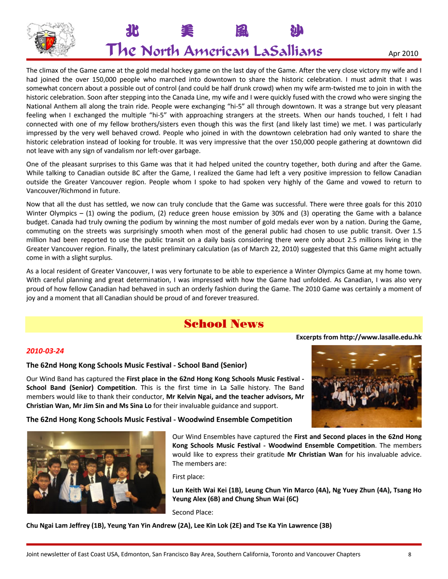



The climax of the Game came at the gold medal hockey game on the last day of the Game. After the very close victory my wife and I had joined the over 150,000 people who marched into downtown to share the historic celebration. I must admit that I was somewhat concern about a possible out of control (and could be half drunk crowd) when my wife arm-twisted me to join in with the historic celebration. Soon after stepping into the Canada Line, my wife and I were quickly fused with the crowd who were singing the National Anthem all along the train ride. People were exchanging "hi‐5" all through downtown. It was a strange but very pleasant feeling when I exchanged the multiple "hi‐5" with approaching strangers at the streets. When our hands touched, I felt I had connected with one of my fellow brothers/sisters even though this was the first (and likely last time) we met. I was particularly impressed by the very well behaved crowd. People who joined in with the downtown celebration had only wanted to share the historic celebration instead of looking for trouble. It was very impressive that the over 150,000 people gathering at downtown did not leave with any sign of vandalism nor left‐over garbage.

One of the pleasant surprises to this Game was that it had helped united the country together, both during and after the Game. While talking to Canadian outside BC after the Game, I realized the Game had left a very positive impression to fellow Canadian outside the Greater Vancouver region. People whom I spoke to had spoken very highly of the Game and vowed to return to Vancouver/Richmond in future.

Now that all the dust has settled, we now can truly conclude that the Game was successful. There were three goals for this 2010 Winter Olympics – (1) owing the podium, (2) reduce green house emission by 30% and (3) operating the Game with a balance budget. Canada had truly owning the podium by winning the most number of gold medals ever won by a nation. During the Game, commuting on the streets was surprisingly smooth when most of the general public had chosen to use public transit. Over 1.5 million had been reported to use the public transit on a daily basis considering there were only about 2.5 millions living in the Greater Vancouver region. Finally, the latest preliminary calculation (as of March 22, 2010) suggested that this Game might actually come in with a slight surplus.

As a local resident of Greater Vancouver, I was very fortunate to be able to experience a Winter Olympics Game at my home town. With careful planning and great determination, I was impressed with how the Game had unfolded. As Canadian, I was also very proud of how fellow Canadian had behaved in such an orderly fashion during the Game. The 2010 Game was certainly a moment of joy and a moment that all Canadian should be proud of and forever treasured.

# School News

**Excerpts from http://www.lasalle.edu.hk**

## *2010‐03‐24*

## **The 62nd Hong Kong Schools Music Festival ‐ School Band (Senior)**

Our Wind Band has captured the **First place in the 62nd Hong Kong Schools Music Festival ‐ School Band (Senior) Competition**. This is the first time in La Salle history. The Band members would like to thank their conductor, **Mr Kelvin Ngai, and the teacher advisors, Mr Christian Wan, Mr Jim Sin and Ms Sina Lo** for their invaluable guidance and support.



## **The 62nd Hong Kong Schools Music Festival ‐ Woodwind Ensemble Competition**



Our Wind Ensembles have captured the **First and Second places in the 62nd Hong Kong Schools Music Festival ‐ Woodwind Ensemble Competition**. The members would like to express their gratitude **Mr Christian Wan** for his invaluable advice. The members are:

First place:

**Lun Keith Wai Kei (1B), Leung Chun Yin Marco (4A), Ng Yuey Zhun (4A), Tsang Ho Yeung Alex (6B) and Chung Shun Wai (6C)**

Second Place:

Chu Ngai Lam Jeffrey (1B), Yeung Yan Yin Andrew (2A), Lee Kin Lok (2E) and Tse Ka Yin Lawrence (3B)